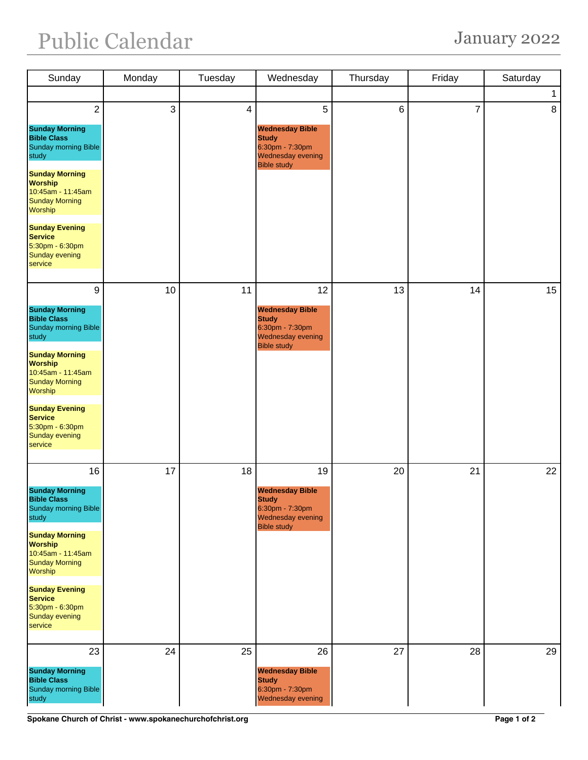## Public Calendar January 2022

| Sunday                                                                                                                                              | Monday | Tuesday                 | Wednesday                                                                                            | Thursday | Friday         | Saturday |
|-----------------------------------------------------------------------------------------------------------------------------------------------------|--------|-------------------------|------------------------------------------------------------------------------------------------------|----------|----------------|----------|
|                                                                                                                                                     |        |                         |                                                                                                      |          |                | 1        |
| $\overline{2}$                                                                                                                                      | 3      | $\overline{\mathbf{4}}$ | 5                                                                                                    | 6        | $\overline{7}$ | 8        |
| <b>Sunday Morning</b><br><b>Bible Class</b><br><b>Sunday morning Bible</b><br>study<br><b>Sunday Morning</b><br><b>Worship</b><br>10:45am - 11:45am |        |                         | <b>Wednesday Bible</b><br><b>Study</b><br>6:30pm - 7:30pm<br>Wednesday evening<br><b>Bible study</b> |          |                |          |
| <b>Sunday Morning</b><br>Worship                                                                                                                    |        |                         |                                                                                                      |          |                |          |
| <b>Sunday Evening</b><br><b>Service</b><br>5:30pm - 6:30pm<br><b>Sunday evening</b><br>service                                                      |        |                         |                                                                                                      |          |                |          |
| $\boldsymbol{9}$                                                                                                                                    | 10     | 11                      | 12                                                                                                   | 13       | 14             | 15       |
| <b>Sunday Morning</b><br><b>Bible Class</b><br><b>Sunday morning Bible</b><br>study                                                                 |        |                         | <b>Wednesday Bible</b><br><b>Study</b><br>6:30pm - 7:30pm<br>Wednesday evening<br><b>Bible study</b> |          |                |          |
| <b>Sunday Morning</b><br><b>Worship</b><br>10:45am - 11:45am<br><b>Sunday Morning</b><br>Worship                                                    |        |                         |                                                                                                      |          |                |          |
| <b>Sunday Evening</b><br><b>Service</b><br>5:30pm - 6:30pm<br><b>Sunday evening</b><br>service                                                      |        |                         |                                                                                                      |          |                |          |
| 16                                                                                                                                                  | 17     | 18                      | 19                                                                                                   | 20       | 21             | 22       |
| <b>Sunday Morning</b><br><b>Bible Class</b><br><b>Sunday morning Bible</b><br>study                                                                 |        |                         | <b>Wednesday Bible</b><br><b>Study</b><br>6:30pm - 7:30pm<br>Wednesday evening<br><b>Bible study</b> |          |                |          |
| <b>Sunday Morning</b><br><b>Worship</b><br>10:45am - 11:45am<br><b>Sunday Morning</b><br>Worship                                                    |        |                         |                                                                                                      |          |                |          |
| <b>Sunday Evening</b><br><b>Service</b><br>5:30pm - 6:30pm<br>Sunday evening<br>service                                                             |        |                         |                                                                                                      |          |                |          |
| 23<br><b>Sunday Morning</b><br><b>Bible Class</b><br><b>Sunday morning Bible</b><br>study                                                           | 24     | 25                      | 26<br><b>Wednesday Bible</b><br><b>Study</b><br>6:30pm - 7:30pm<br>Wednesday evening                 | 27       | 28             | 29       |